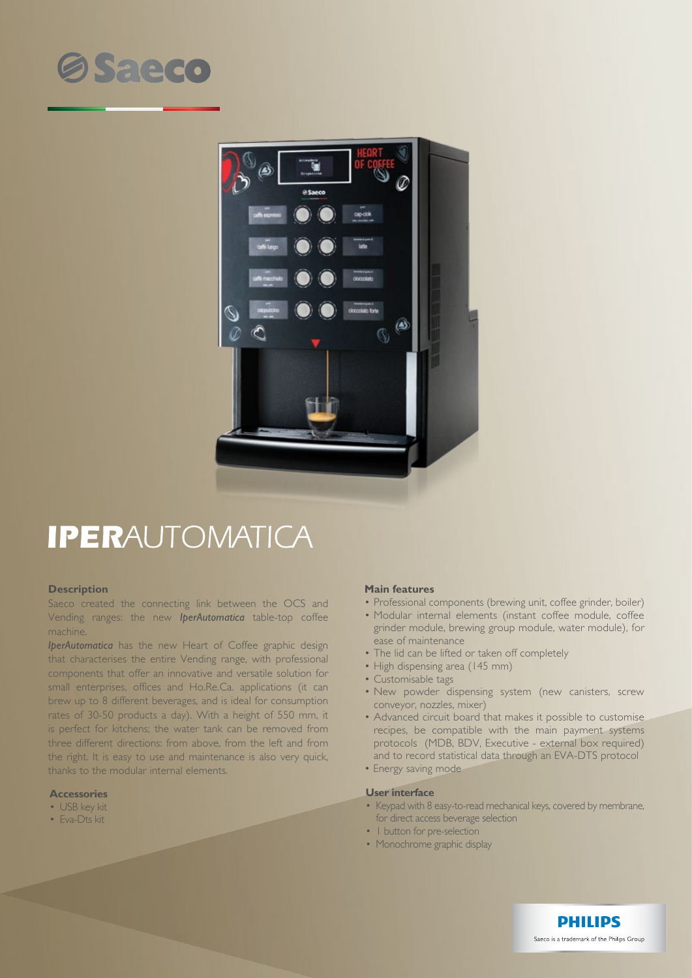# **OSaeco**



## **IPERAUTOMATICA**

#### **Description**

Saeco created the connecting link between the OCS and Vending ranges: the new *IperAutomatica* table-top coffee machine.

*IperAutomatica* has the new Heart of Coffee graphic design that characterises the entire Vending range, with professional components that offer an innovative and versatile solution for small enterprises, offices and Ho.Re.Ca. applications (it can brew up to 8 different beverages, and is ideal for consumption rates of 30-50 products a day). With a height of 550 mm, it is perfect for kitchens; the water tank can be removed from three different directions: from above, from the left and from the right. It is easy to use and maintenance is also very quick, thanks to the modular internal elements.

### **Accessories**

- USB key kit
- Eva-Dts kit

#### **Main features**

- Professional components (brewing unit, coffee grinder, boiler)
- Modular internal elements (instant coffee module, coffee grinder module, brewing group module, water module), for ease of maintenance
- The lid can be lifted or taken off completely
- High dispensing area (145 mm)
- Customisable tags
- New powder dispensing system (new canisters, screw conveyor, nozzles, mixer)
- Advanced circuit board that makes it possible to customise recipes, be compatible with the main payment systems protocols (MDB, BDV, Executive - external box required) and to record statistical data through an EVA-DTS protocol
- Energy saving mode

#### **User interface**

- Keypad with 8 easy-to-read mechanical keys, covered by membrane, for direct access beverage selection
- I button for pre-selection
- Monochrome graphic display